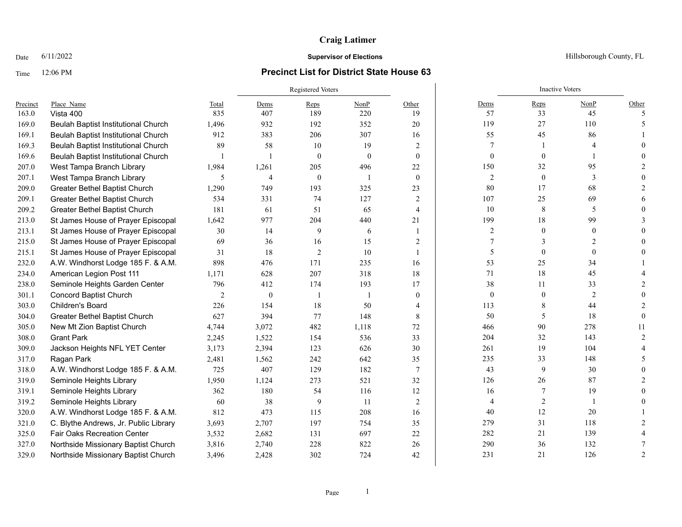# **Craig Latimer**

## Time 12:06 PM **Precinct List for District State House 63**

|          |                                            |       | <b>Registered Voters</b> |              |          |                |                  | <b>Inactive Voters</b> |                |               |
|----------|--------------------------------------------|-------|--------------------------|--------------|----------|----------------|------------------|------------------------|----------------|---------------|
| Precinct | Place Name                                 | Total | Dems                     | Reps         | NonP     | Other          | Dems             | Reps                   | NonP           | Other         |
| 163.0    | Vista 400                                  | 835   | 407                      | 189          | 220      | 19             | 57               | 33                     | 45             | 5             |
| 169.0    | Beulah Baptist Institutional Church        | 1,496 | 932                      | 192          | 352      | 20             | 119              | 27                     | 110            |               |
| 169.1    | Beulah Baptist Institutional Church        | 912   | 383                      | 206          | 307      | 16             | 55               | 45                     | 86             |               |
| 169.3    | Beulah Baptist Institutional Church        | 89    | 58                       | 10           | 19       | 2              |                  |                        |                |               |
| 169.6    | <b>Beulah Baptist Institutional Church</b> | -1    |                          | $\mathbf{0}$ | $\theta$ | $\overline{0}$ | $\mathbf{0}$     | $\theta$               |                |               |
| 207.0    | West Tampa Branch Library                  | 1,984 | 1,261                    | 205          | 496      | 22             | 150              | 32                     | 95             |               |
| 207.1    | West Tampa Branch Library                  | 5     | $\overline{4}$           | $\mathbf{0}$ |          | $\theta$       | $\overline{2}$   | $\mathbf{0}$           | 3              |               |
| 209.0    | Greater Bethel Baptist Church              | 1,290 | 749                      | 193          | 325      | 23             | $80\,$           | 17                     | 68             |               |
| 209.1    | Greater Bethel Baptist Church              | 534   | 331                      | 74           | 127      | 2              | 107              | 25                     | 69             |               |
| 209.2    | Greater Bethel Baptist Church              | 181   | 61                       | 51           | 65       | $\overline{4}$ | 10               | 8                      | 5              |               |
| 213.0    | St James House of Prayer Episcopal         | 1,642 | 977                      | 204          | 440      | 21             | 199              | 18                     | 99             |               |
| 213.1    | St James House of Prayer Episcopal         | 30    | 14                       | 9            | 6        |                | $\overline{c}$   | $\theta$               | $\theta$       |               |
| 215.0    | St James House of Prayer Episcopal         | 69    | 36                       | 16           | 15       | 2              |                  | 3                      |                |               |
| 215.1    | St James House of Prayer Episcopal         | 31    | 18                       | 2            | 10       |                | 5                | $\theta$               | $\theta$       |               |
| 232.0    | A.W. Windhorst Lodge 185 F. & A.M.         | 898   | 476                      | 171          | 235      | 16             | 53               | 25                     | 34             |               |
| 234.0    | American Legion Post 111                   | 1,171 | 628                      | 207          | 318      | 18             | 71               | 18                     | 45             |               |
| 238.0    | Seminole Heights Garden Center             | 796   | 412                      | 174          | 193      | 17             | 38               | 11                     | 33             |               |
| 301.1    | <b>Concord Baptist Church</b>              | 2     | $\mathbf{0}$             | -1           |          | $\overline{0}$ | $\boldsymbol{0}$ | $\theta$               | $\overline{2}$ |               |
| 303.0    | Children's Board                           | 226   | 154                      | 18           | 50       | 4              | 113              | 8                      | 44             |               |
| 304.0    | Greater Bethel Baptist Church              | 627   | 394                      | 77           | 148      | 8              | 50               | 5                      | 18             |               |
| 305.0    | New Mt Zion Baptist Church                 | 4,744 | 3,072                    | 482          | 1,118    | 72             | 466              | 90                     | 278            | 11            |
| 308.0    | <b>Grant Park</b>                          | 2,245 | 1,522                    | 154          | 536      | 33             | 204              | 32                     | 143            |               |
| 309.0    | Jackson Heights NFL YET Center             | 3,173 | 2,394                    | 123          | 626      | 30             | 261              | 19                     | 104            |               |
| 317.0    | Ragan Park                                 | 2,481 | 1,562                    | 242          | 642      | 35             | 235              | 33                     | 148            |               |
| 318.0    | A.W. Windhorst Lodge 185 F. & A.M.         | 725   | 407                      | 129          | 182      | $\tau$         | 43               | 9                      | 30             |               |
| 319.0    | Seminole Heights Library                   | 1,950 | 1,124                    | 273          | 521      | 32             | 126              | 26                     | 87             |               |
| 319.1    | Seminole Heights Library                   | 362   | 180                      | 54           | 116      | 12             | 16               |                        | 19             |               |
| 319.2    | Seminole Heights Library                   | 60    | 38                       | 9            | -11      | 2              | $\overline{4}$   | $\overline{2}$         |                |               |
| 320.0    | A.W. Windhorst Lodge 185 F. & A.M.         | 812   | 473                      | 115          | 208      | 16             | 40               | 12                     | 20             |               |
| 321.0    | C. Blythe Andrews, Jr. Public Library      | 3,693 | 2,707                    | 197          | 754      | 35             | 279              | 31                     | 118            |               |
| 325.0    | <b>Fair Oaks Recreation Center</b>         | 3,532 | 2,682                    | 131          | 697      | 22             | 282              | 21                     | 139            |               |
| 327.0    | Northside Missionary Baptist Church        | 3,816 | 2,740                    | 228          | 822      | 26             | 290              | 36                     | 132            |               |
| 329.0    | Northside Missionary Baptist Church        | 3,496 | 2,428                    | 302          | 724      | 42             | 231              | 21                     | 126            | $\mathcal{P}$ |

Date  $6/11/2022$  Hillsborough County, FL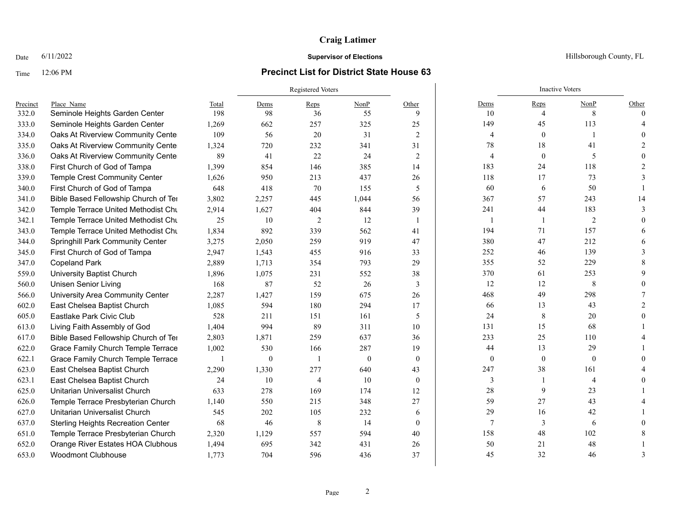# **Craig Latimer**

## Time 12:06 PM **Precinct List for District State House 63**

|          |                                           |                          | Registered Voters |                |          |                |              | <b>Inactive Voters</b> |                |          |
|----------|-------------------------------------------|--------------------------|-------------------|----------------|----------|----------------|--------------|------------------------|----------------|----------|
| Precinct | Place Name                                | Total                    | Dems              | Reps           | NonP     | Other          | Dems         | Reps                   | NonP           | Other    |
| 332.0    | Seminole Heights Garden Center            | 198                      | 98                | 36             | 55       | 9              | 10           | $\overline{4}$         | 8              | $\Omega$ |
| 333.0    | Seminole Heights Garden Center            | 1,269                    | 662               | 257            | 325      | 25             | 149          | 45                     | 113            |          |
| 334.0    | Oaks At Riverview Community Center        | 109                      | 56                | 20             | 31       | 2              | 4            | $\mathbf{0}$           |                |          |
| 335.0    | Oaks At Riverview Community Center        | 1,324                    | 720               | 232            | 341      | 31             | 78           | 18                     | 41             |          |
| 336.0    | Oaks At Riverview Community Cente         | 89                       | 41                | 22             | 24       | $\overline{2}$ | 4            | $\mathbf{0}$           | 5              |          |
| 338.0    | First Church of God of Tampa              | 1,399                    | 854               | 146            | 385      | 14             | 183          | 24                     | 118            |          |
| 339.0    | Temple Crest Community Center             | 1,626                    | 950               | 213            | 437      | 26             | 118          | 17                     | 73             |          |
| 340.0    | First Church of God of Tampa              | 648                      | 418               | 70             | 155      | 5              | 60           | 6                      | 50             |          |
| 341.0    | Bible Based Fellowship Church of Ter      | 3,802                    | 2,257             | 445            | 1,044    | 56             | 367          | 57                     | 243            | 14       |
| 342.0    | Temple Terrace United Methodist Chu       | 2,914                    | 1,627             | 404            | 844      | 39             | 241          | 44                     | 183            |          |
| 342.1    | Temple Terrace United Methodist Chu       | 25                       | 10                | 2              | 12       | -1             | 1            |                        | $\overline{c}$ |          |
| 343.0    | Temple Terrace United Methodist Chu       | 1,834                    | 892               | 339            | 562      | 41             | 194          | 71                     | 157            |          |
| 344.0    | Springhill Park Community Center          | 3,275                    | 2,050             | 259            | 919      | 47             | 380          | 47                     | 212            |          |
| 345.0    | First Church of God of Tampa              | 2,947                    | 1,543             | 455            | 916      | 33             | 252          | 46                     | 139            |          |
| 347.0    | <b>Copeland Park</b>                      | 2,889                    | 1,713             | 354            | 793      | 29             | 355          | 52                     | 229            |          |
| 559.0    | University Baptist Church                 | 1,896                    | 1,075             | 231            | 552      | 38             | 370          | 61                     | 253            |          |
| 560.0    | <b>Unisen Senior Living</b>               | 168                      | 87                | 52             | 26       | 3              | 12           | 12                     | 8              |          |
| 566.0    | University Area Community Center          | 2,287                    | 1,427             | 159            | 675      | 26             | 468          | 49                     | 298            |          |
| 602.0    | East Chelsea Baptist Church               | 1,085                    | 594               | 180            | 294      | 17             | 66           | 13                     | 43             |          |
| 605.0    | Eastlake Park Civic Club                  | 528                      | 211               | 151            | 161      | 5              | 24           | 8                      | 20             |          |
| 613.0    | Living Faith Assembly of God              | 1,404                    | 994               | 89             | 311      | 10             | 131          | 15                     | 68             |          |
| 617.0    | Bible Based Fellowship Church of Ter      | 2,803                    | 1,871             | 259            | 637      | 36             | 233          | 25                     | 110            |          |
| 622.0    | Grace Family Church Temple Terrace        | 1,002                    | 530               | 166            | 287      | 19             | 44           | 13                     | 29             |          |
| 622.1    | Grace Family Church Temple Terrace        | $\overline{\phantom{a}}$ | $\mathbf{0}$      | $\overline{1}$ | $\theta$ | $\theta$       | $\mathbf{0}$ | $\mathbf{0}$           | $\mathbf{0}$   |          |
| 623.0    | East Chelsea Baptist Church               | 2,290                    | 1,330             | 277            | 640      | 43             | 247          | 38                     | 161            |          |
| 623.1    | East Chelsea Baptist Church               | 24                       | 10                | $\overline{4}$ | 10       | $\theta$       | 3            |                        | $\overline{4}$ |          |
| 625.0    | Unitarian Universalist Church             | 633                      | 278               | 169            | 174      | 12             | 28           | 9                      | 23             |          |
| 626.0    | Temple Terrace Presbyterian Church        | 1,140                    | 550               | 215            | 348      | 27             | 59           | 27                     | 43             |          |
| 627.0    | Unitarian Universalist Church             | 545                      | 202               | 105            | 232      | 6              | 29           | 16                     | 42             |          |
| 637.0    | <b>Sterling Heights Recreation Center</b> | 68                       | 46                | 8              | 14       | $\theta$       | $\tau$       | 3                      | 6              |          |
| 651.0    | Temple Terrace Presbyterian Church        | 2,320                    | 1,129             | 557            | 594      | 40             | 158          | 48                     | 102            |          |
| 652.0    | Orange River Estates HOA Clubhous         | 1,494                    | 695               | 342            | 431      | 26             | 50           | 21                     | 48             |          |
| 653.0    | <b>Woodmont Clubhouse</b>                 | 1,773                    | 704               | 596            | 436      | 37             | 45           | 32                     | 46             |          |

Date  $6/11/2022$  Hillsborough County, FL